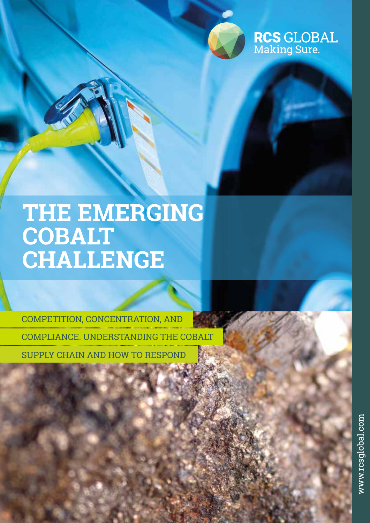

**RCS GLOBAL**<br>Making Sure.

# **THE EMERGING COBALT CHALLENGE**

COMPETITION, CONCENTRATION, AND COMPLIANCE. UNDERSTANDING THE COBALT SUPPLY CHAIN AND HOW TO RESPOND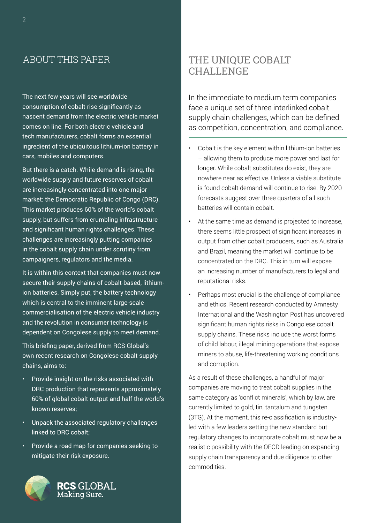### ABOUT THIS PAPER

The next few years will see worldwide consumption of cobalt rise significantly as nascent demand from the electric vehicle market comes on line. For both electric vehicle and tech manufacturers, cobalt forms an essential ingredient of the ubiquitous lithium-ion battery in cars, mobiles and computers.

But there is a catch. While demand is rising, the worldwide supply and future reserves of cobalt are increasingly concentrated into one major market: the Democratic Republic of Congo (DRC). This market produces 60% of the world's cobalt supply, but suffers from crumbling infrastructure and significant human rights challenges. These challenges are increasingly putting companies in the cobalt supply chain under scrutiny from campaigners, regulators and the media.

It is within this context that companies must now secure their supply chains of cobalt-based, lithiumion batteries. Simply put, the battery technology which is central to the imminent large-scale commercialisation of the electric vehicle industry and the revolution in consumer technology is dependent on Congolese supply to meet demand.

This briefing paper, derived from RCS Global's own recent research on Congolese cobalt supply chains, aims to:

- Provide insight on the risks associated with DRC production that represents approximately 60% of global cobalt output and half the world's known reserves;
- Unpack the associated regulatory challenges linked to DRC cobalt;
- Provide a road map for companies seeking to mitigate their risk exposure.



## THE UNIQUE COBALT CHALLENGE

In the immediate to medium term companies face a unique set of three interlinked cobalt supply chain challenges, which can be defined as competition, concentration, and compliance.

- Cobalt is the key element within lithium-ion batteries – allowing them to produce more power and last for longer. While cobalt substitutes do exist, they are nowhere near as effective. Unless a viable substitute is found cobalt demand will continue to rise. By 2020 forecasts suggest over three quarters of all such batteries will contain cobalt.
- At the same time as demand is projected to increase, there seems little prospect of significant increases in output from other cobalt producers, such as Australia and Brazil, meaning the market will continue to be concentrated on the DRC. This in turn will expose an increasing number of manufacturers to legal and reputational risks.
- Perhaps most crucial is the challenge of compliance and ethics. Recent research conducted by Amnesty International and the Washington Post has uncovered significant human rights risks in Congolese cobalt supply chains. These risks include the worst forms of child labour, illegal mining operations that expose miners to abuse, life-threatening working conditions and corruption.

As a result of these challenges, a handful of major companies are moving to treat cobalt supplies in the same category as 'conflict minerals', which by law, are currently limited to gold, tin, tantalum and tungsten (3TG). At the moment, this re-classification is industryled with a few leaders setting the new standard but regulatory changes to incorporate cobalt must now be a realistic possibility with the OECD leading on expanding supply chain transparency and due diligence to other commodities.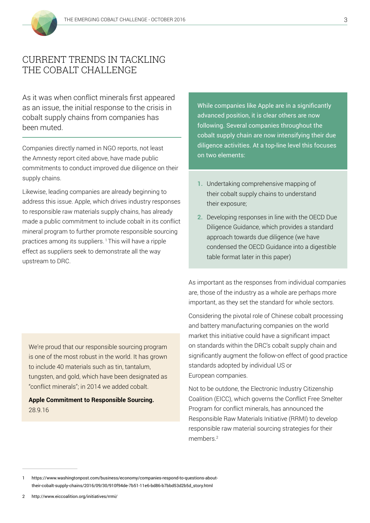

### CURRENT TRENDS IN TACKLING THE COBALT CHALLENGE

As it was when conflict minerals first appeared as an issue, the initial response to the crisis in cobalt supply chains from companies has been muted.

Companies directly named in NGO reports, not least the Amnesty report cited above, have made public commitments to conduct improved due diligence on their supply chains.

Likewise, leading companies are already beginning to address this issue. Apple, which drives industry responses to responsible raw materials supply chains, has already made a public commitment to include cobalt in its conflict mineral program to further promote responsible sourcing practices among its suppliers.<sup>1</sup> This will have a ripple effect as suppliers seek to demonstrate all the way upstream to DRC.

We're proud that our responsible sourcing program is one of the most robust in the world. It has grown to include 40 materials such as tin, tantalum, tungsten, and gold, which have been designated as "conflict minerals"; in 2014 we added cobalt.

**Apple Commitment to Responsible Sourcing.** 28.9.16

While companies like Apple are in a significantly advanced position, it is clear others are now following. Several companies throughout the cobalt supply chain are now intensifying their due diligence activities. At a top-line level this focuses on two elements:

- **1.** Undertaking comprehensive mapping of their cobalt supply chains to understand their exposure;
- **2.** Developing responses in line with the OECD Due Diligence Guidance, which provides a standard approach towards due diligence (we have condensed the OECD Guidance into a digestible table format later in this paper)

As important as the responses from individual companies are, those of the industry as a whole are perhaps more important, as they set the standard for whole sectors.

Considering the pivotal role of Chinese cobalt processing and battery manufacturing companies on the world market this initiative could have a significant impact on standards within the DRC's cobalt supply chain and significantly augment the follow-on effect of good practice standards adopted by individual US or European companies.

Not to be outdone, the Electronic Industry Citizenship Coalition (EICC), which governs the Conflict Free Smelter Program for conflict minerals, has announced the Responsible Raw Materials Initiative (RRMI) to develop responsible raw material sourcing strategies for their members.2

<sup>1</sup> https://www.washingtonpost.com/business/economy/companies-respond-to-questions-abouttheir-cobalt-supply-chains/2016/09/30/910f94de-7b51-11e6-bd86-b7bbd53d2b5d\_story.html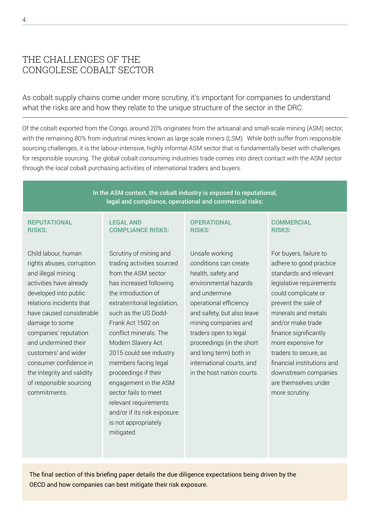### THE CHALLENGES OF THE CONGOLESE COBALT SECTOR

As cobalt supply chains come under more scrutiny, it's important for companies to understand what the risks are and how they relate to the unique structure of the sector in the DRC.

Of the cobalt exported from the Congo, around 20% originates from the artisanal and small-scale mining (ASM) sector, with the remaining 80% from industrial mines known as large scale miners (LSM). While both suffer from responsible sourcing challenges, it is the labour-intensive, highly informal ASM sector that is fundamentally beset with challenges for responsible sourcing. The global cobalt consuming industries trade comes into direct contact with the ASM sector through the local cobalt purchasing activities of international traders and buyers.

> In the ASM context, the cobalt industry is exposed to reputational, legal and compliance, operational and commercial risks:

#### **REPUTATIONAL RISKS:**

Child labour, human rights abuses, corruption and illegal mining activities have already developed into public relations incidents that have caused considerable damage to some companies' reputation and undermined their customers' and wider consumer confidence in the integrity and validity of responsible sourcing commitments.

### **LEGAL AND COMPLIANCE RISKS:**

Scrutiny of mining and trading activities sourced from the ASM sector has increased following the introduction of extraterritorial legislation, such as the US Dodd-Frank Act 1502 on conflict minerals. The Modern Slavery Act 2015 could see industry members facing legal proceedings if their engagement in the ASM sector fails to meet relevant requirements and/or if its risk exposure is not appropriately mitigated.

#### **OPERATIONAL RISKS:**

Unsafe working conditions can create health, safety and environmental hazards and undermine operational efficiency and safety, but also leave mining companies and traders open to legal proceedings (in the short and long term) both in international courts, and in the host nation courts.

### **COMMERCIAL RISKS:**

For buyers, failure to adhere to good practice standards and relevant legislative requirements could complicate or prevent the sale of minerals and metals and/or make trade finance significantly more expensive for traders to secure, as financial institutions and downstream companies are themselves under more scrutiny.

The final section of this briefing paper details the due diligence expectations being driven by the OECD and how companies can best mitigate their risk exposure.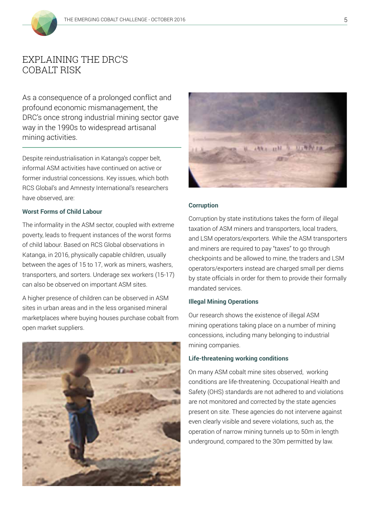

### EXPLAINING THE DRC'S COBALT RISK

As a consequence of a prolonged conflict and profound economic mismanagement, the DRC's once strong industrial mining sector gave way in the 1990s to widespread artisanal mining activities.

Despite reindustrialisation in Katanga's copper belt, informal ASM activities have continued on active or former industrial concessions. Key issues, which both RCS Global's and Amnesty International's researchers have observed, are:

#### **Worst Forms of Child Labour**

The informality in the ASM sector, coupled with extreme poverty, leads to frequent instances of the worst forms of child labour. Based on RCS Global observations in Katanga, in 2016, physically capable children, usually between the ages of 15 to 17, work as miners, washers, transporters, and sorters. Underage sex workers (15-17) can also be observed on important ASM sites.

A higher presence of children can be observed in ASM sites in urban areas and in the less organised mineral marketplaces where buying houses purchase cobalt from open market suppliers.





#### **Corruption**

Corruption by state institutions takes the form of illegal taxation of ASM miners and transporters, local traders, and LSM operators/exporters. While the ASM transporters and miners are required to pay "taxes" to go through checkpoints and be allowed to mine, the traders and LSM operators/exporters instead are charged small per diems by state officials in order for them to provide their formally mandated services.

### **Illegal Mining Operations**

Our research shows the existence of illegal ASM mining operations taking place on a number of mining concessions, including many belonging to industrial mining companies.

#### **Life-threatening working conditions**

On many ASM cobalt mine sites observed, working conditions are life-threatening. Occupational Health and Safety (OHS) standards are not adhered to and violations are not monitored and corrected by the state agencies present on site. These agencies do not intervene against even clearly visible and severe violations, such as, the operation of narrow mining tunnels up to 50m in length underground, compared to the 30m permitted by law.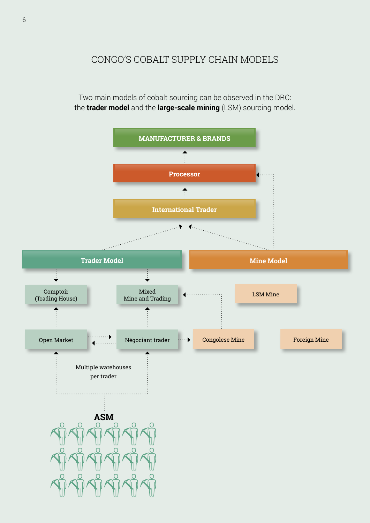### CONGO'S COBALT SUPPLY CHAIN MODELS

Two main models of cobalt sourcing can be observed in the DRC: the **trader model** and the **large-scale mining** (LSM) sourcing model.

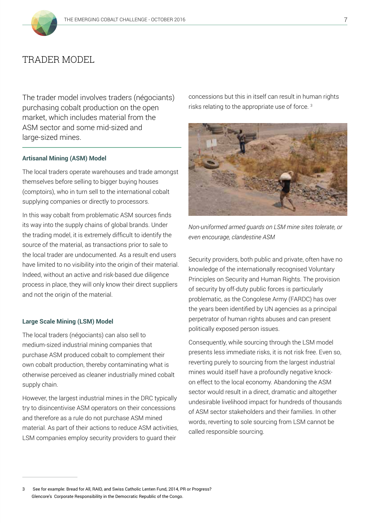

### TRADER MODEL

The trader model involves traders (négociants) purchasing cobalt production on the open market, which includes material from the ASM sector and some mid-sized and large-sized mines.

#### **Artisanal Mining (ASM) Model**

The local traders operate warehouses and trade amongst themselves before selling to bigger buying houses (comptoirs), who in turn sell to the international cobalt supplying companies or directly to processors.

In this way cobalt from problematic ASM sources finds its way into the supply chains of global brands. Under the trading model, it is extremely difficult to identify the source of the material, as transactions prior to sale to the local trader are undocumented. As a result end users have limited to no visibility into the origin of their material. Indeed, without an active and risk-based due diligence process in place, they will only know their direct suppliers and not the origin of the material.

#### **Large Scale Mining (LSM) Model**

The local traders (négociants) can also sell to medium-sized industrial mining companies that purchase ASM produced cobalt to complement their own cobalt production, thereby contaminating what is otherwise perceived as cleaner industrially mined cobalt supply chain.

However, the largest industrial mines in the DRC typically try to disincentivise ASM operators on their concessions and therefore as a rule do not purchase ASM mined material. As part of their actions to reduce ASM activities, LSM companies employ security providers to guard their

concessions but this in itself can result in human rights risks relating to the appropriate use of force. 3



*Non-uniformed armed guards on LSM mine sites tolerate, or even encourage, clandestine ASM*

Security providers, both public and private, often have no knowledge of the internationally recognised Voluntary Principles on Security and Human Rights. The provision of security by off-duty public forces is particularly problematic, as the Congolese Army (FARDC) has over the years been identified by UN agencies as a principal perpetrator of human rights abuses and can present politically exposed person issues.

Consequently, while sourcing through the LSM model presents less immediate risks, it is not risk free. Even so, reverting purely to sourcing from the largest industrial mines would itself have a profoundly negative knockon effect to the local economy. Abandoning the ASM sector would result in a direct, dramatic and altogether undesirable livelihood impact for hundreds of thousands of ASM sector stakeholders and their families. In other words, reverting to sole sourcing from LSM cannot be called responsible sourcing.

<sup>3</sup> See for example: Bread for All, RAID, and Swiss Catholic Lenten Fund, 2014, PR or Progress? Glencore's Corporate Responsibility in the Democratic Republic of the Congo.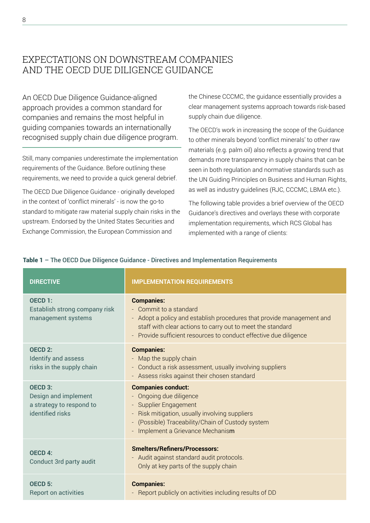### EXPECTATIONS ON DOWNSTREAM COMPANIES AND THE OECD DUE DILIGENCE GUIDANCE

An OECD Due Diligence Guidance-aligned approach provides a common standard for companies and remains the most helpful in guiding companies towards an internationally recognised supply chain due diligence program.

Still, many companies underestimate the implementation requirements of the Guidance. Before outlining these requirements, we need to provide a quick general debrief.

The OECD Due Diligence Guidance - originally developed in the context of 'conflict minerals' - is now the go-to standard to mitigate raw material supply chain risks in the upstream. Endorsed by the United States Securities and Exchange Commission, the European Commission and

the Chinese CCCMC, the guidance essentially provides a clear management systems approach towards risk-based supply chain due diligence.

The OECD's work in increasing the scope of the Guidance to other minerals beyond 'conflict minerals' to other raw materials (e.g. palm oil) also reflects a growing trend that demands more transparency in supply chains that can be seen in both regulation and normative standards such as the UN Guiding Principles on Business and Human Rights, as well as industry guidelines (RJC, CCCMC, LBMA etc.).

The following table provides a brief overview of the OECD Guidance's directives and overlays these with corporate implementation requirements, which RCS Global has implemented with a range of clients:

### Table 1 – The OECD Due Diligence Guidance - Directives and Implementation Requirements

| <b>DIRECTIVE</b>                                                                           | <b>IMPLEMENTATION REQUIREMENTS</b>                                                                                                                                                                                                                      |
|--------------------------------------------------------------------------------------------|---------------------------------------------------------------------------------------------------------------------------------------------------------------------------------------------------------------------------------------------------------|
| OECD 1:<br>Establish strong company risk<br>management systems                             | <b>Companies:</b><br>- Commit to a standard<br>- Adopt a policy and establish procedures that provide management and<br>staff with clear actions to carry out to meet the standard<br>- Provide sufficient resources to conduct effective due diligence |
| OECD <sub>2:</sub><br>Identify and assess<br>risks in the supply chain                     | <b>Companies:</b><br>- Map the supply chain<br>- Conduct a risk assessment, usually involving suppliers<br>- Assess risks against their chosen standard                                                                                                 |
| OECD <sub>3:</sub><br>Design and implement<br>a strategy to respond to<br>identified risks | <b>Companies conduct:</b><br>- Ongoing due diligence<br>- Supplier Engagement<br>- Risk mitigation, usually involving suppliers<br>- (Possible) Traceability/Chain of Custody system<br>- Implement a Grievance Mechanism                               |
| <b>OECD 4:</b><br>Conduct 3rd party audit                                                  | <b>Smelters/Refiners/Processors:</b><br>- Audit against standard audit protocols.<br>Only at key parts of the supply chain                                                                                                                              |
| OECD <sub>5:</sub><br><b>Report on activities</b>                                          | <b>Companies:</b><br>- Report publicly on activities including results of DD                                                                                                                                                                            |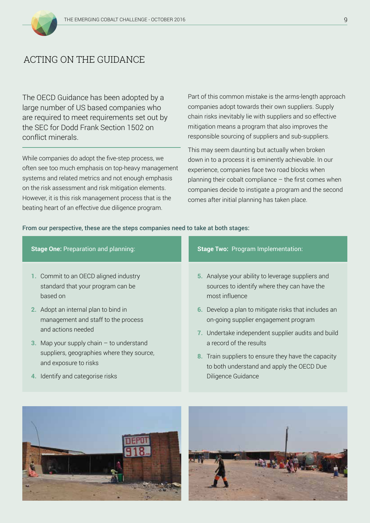

### ACTING ON THE GUIDANCE

The OECD Guidance has been adopted by a large number of US based companies who are required to meet requirements set out by the SEC for Dodd Frank Section 1502 on conflict minerals.

While companies do adopt the five-step process, we often see too much emphasis on top-heavy management systems and related metrics and not enough emphasis on the risk assessment and risk mitigation elements. However, it is this risk management process that is the beating heart of an effective due diligence program.

Part of this common mistake is the arms-length approach companies adopt towards their own suppliers. Supply chain risks inevitably lie with suppliers and so effective mitigation means a program that also improves the responsible sourcing of suppliers and sub-suppliers.

This may seem daunting but actually when broken down in to a process it is eminently achievable. In our experience, companies face two road blocks when planning their cobalt compliance – the first comes when companies decide to instigate a program and the second comes after initial planning has taken place.

### From our perspective, these are the steps companies need to take at both stages:

| <b>Stage One: Preparation and planning:</b> | Stage Two: Program Implementation:                   |
|---------------------------------------------|------------------------------------------------------|
| 1. Commit to an OECD aligned industry       | 5. Analyse your ability to leverage suppliers and    |
| standard that your program can be           | sources to identify where they can have the          |
| based on                                    | most influence                                       |
| 2. Adopt an internal plan to bind in        | 6. Develop a plan to mitigate risks that includes an |
| management and staff to the process         | on-going supplier engagement program                 |
| and actions needed                          | 7. Undertake independent supplier audits and build   |
| 3. Map your supply chain $-$ to understand  | a record of the results                              |
| suppliers, geographies where they source,   | 8. Train suppliers to ensure they have the capacity  |
| and exposure to risks                       | to both understand and apply the OECD Due            |
| 4. Identify and categorise risks            | Diligence Guidance                                   |



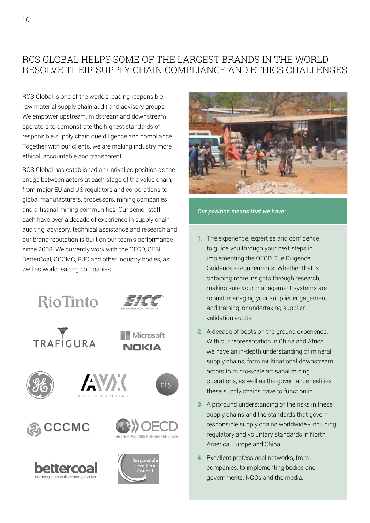## RCS GLOBAL HELPS SOME OF THE LARGEST BRANDS IN THE WORLD RESOLVE THEIR SUPPLY CHAIN COMPLIANCE AND ETHICS CHALLENGES

RCS Global is one of the world's leading responsible raw material supply chain audit and advisory groups. We empower upstream, midstream and downstream operators to demonstrate the highest standards of responsible supply chain due diligence and compliance. Together with our clients, we are making industry more ethical, accountable and transparent.

RCS Global has established an unrivalled position as the bridge between actors at each stage of the value chain, from major EU and US regulators and corporations to global manufacturers, processors, mining companies and artisanal mining communities. Our senior staff each have over a decade of experience in supply chain auditing, advisory, technical assistance and research and our brand reputation is built on our team's performance since 2008. We currently work with the OECD, CFSI, BetterCoal, CCCMC, RJC and other industry bodies, as well as world leading companies.





Microsoft **NOKIA** 

cfsi















*Our position means that we have:*

- **1.** The experience, expertise and confidence to guide you through your next steps in implementing the OECD Due Diligence Guidance's requirements. Whether that is obtaining more insights through research, making sure your management systems are robust, managing your supplier engagement and training, or undertaking supplier validation audits.
- **2.** A decade of boots on the ground experience. With our representation in China and Africa we have an in-depth understanding of mineral supply chains, from multinational downstream actors to micro-scale artisanal mining operations, as well as the governance realities these supply chains have to function in.
- **3.** A profound understanding of the risks in these supply chains and the standards that govern responsible supply chains worldwide - including regulatory and voluntary standards in North America, Europe and China.
- **4.** Excellent professional networks, from companies, to implementing bodies and governments, NGOs and the media.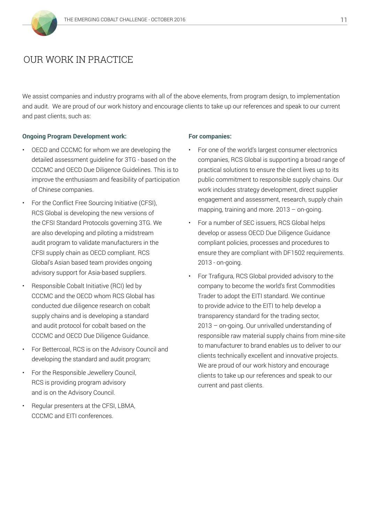

### OUR WORK IN PRACTICE

We assist companies and industry programs with all of the above elements, from program design, to implementation and audit. We are proud of our work history and encourage clients to take up our references and speak to our current and past clients, such as:

#### **Ongoing Program Development work:**

- OECD and CCCMC for whom we are developing the detailed assessment guideline for 3TG - based on the CCCMC and OECD Due Diligence Guidelines. This is to improve the enthusiasm and feasibility of participation of Chinese companies.
- For the Conflict Free Sourcing Initiative (CFSI), RCS Global is developing the new versions of the CFSI Standard Protocols governing 3TG. We are also developing and piloting a midstream audit program to validate manufacturers in the CFSI supply chain as OECD compliant. RCS Global's Asian based team provides ongoing advisory support for Asia-based suppliers.
- Responsible Cobalt Initiative (RCI) led by CCCMC and the OECD whom RCS Global has conducted due diligence research on cobalt supply chains and is developing a standard and audit protocol for cobalt based on the CCCMC and OECD Due Diligence Guidance.
- For Bettercoal, RCS is on the Advisory Council and developing the standard and audit program;
- For the Responsible Jewellery Council, RCS is providing program advisory and is on the Advisory Council.
- Regular presenters at the CFSI, LBMA, CCCMC and EITI conferences.

#### **For companies:**

- For one of the world's largest consumer electronics companies, RCS Global is supporting a broad range of practical solutions to ensure the client lives up to its public commitment to responsible supply chains. Our work includes strategy development, direct supplier engagement and assessment, research, supply chain mapping, training and more. 2013 – on-going.
- For a number of SEC issuers, RCS Global helps develop or assess OECD Due Diligence Guidance compliant policies, processes and procedures to ensure they are compliant with DF1502 requirements. 2013 - on-going.
- For Trafigura, RCS Global provided advisory to the company to become the world's first Commodities Trader to adopt the EITI standard. We continue to provide advice to the EITI to help develop a transparency standard for the trading sector, 2013 – on-going. Our unrivalled understanding of responsible raw material supply chains from mine-site to manufacturer to brand enables us to deliver to our clients technically excellent and innovative projects. We are proud of our work history and encourage clients to take up our references and speak to our current and past clients.